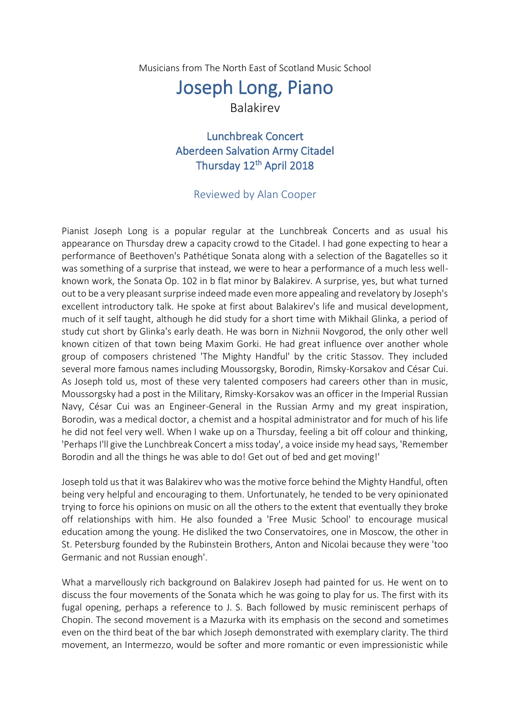Musicians from The North East of Scotland Music School

## Joseph Long, Piano

## Balakirev

Lunchbreak Concert Aberdeen Salvation Army Citadel Thursday 12<sup>th</sup> April 2018

## Reviewed by Alan Cooper

Pianist Joseph Long is a popular regular at the Lunchbreak Concerts and as usual his appearance on Thursday drew a capacity crowd to the Citadel. I had gone expecting to hear a performance of Beethoven's Pathétique Sonata along with a selection of the Bagatelles so it was something of a surprise that instead, we were to hear a performance of a much less wellknown work, the Sonata Op. 102 in b flat minor by Balakirev. A surprise, yes, but what turned out to be a very pleasant surprise indeed made even more appealing and revelatory by Joseph's excellent introductory talk. He spoke at first about Balakirev's life and musical development, much of it self taught, although he did study for a short time with Mikhail Glinka, a period of study cut short by Glinka's early death. He was born in Nizhnii Novgorod, the only other well known citizen of that town being Maxim Gorki. He had great influence over another whole group of composers christened 'The Mighty Handful' by the critic Stassov. They included several more famous names including Moussorgsky, Borodin, Rimsky-Korsakov and César Cui. As Joseph told us, most of these very talented composers had careers other than in music, Moussorgsky had a post in the Military, Rimsky-Korsakov was an officer in the Imperial Russian Navy, César Cui was an Engineer-General in the Russian Army and my great inspiration, Borodin, was a medical doctor, a chemist and a hospital administrator and for much of his life he did not feel very well. When I wake up on a Thursday, feeling a bit off colour and thinking, 'Perhaps I'll give the Lunchbreak Concert a miss today', a voice inside my head says, 'Remember Borodin and all the things he was able to do! Get out of bed and get moving!'

Joseph told us that it was Balakirev who was the motive force behind the Mighty Handful, often being very helpful and encouraging to them. Unfortunately, he tended to be very opinionated trying to force his opinions on music on all the others to the extent that eventually they broke off relationships with him. He also founded a 'Free Music School' to encourage musical education among the young. He disliked the two Conservatoires, one in Moscow, the other in St. Petersburg founded by the Rubinstein Brothers, Anton and Nicolai because they were 'too Germanic and not Russian enough'.

What a marvellously rich background on Balakirev Joseph had painted for us. He went on to discuss the four movements of the Sonata which he was going to play for us. The first with its fugal opening, perhaps a reference to J. S. Bach followed by music reminiscent perhaps of Chopin. The second movement is a Mazurka with its emphasis on the second and sometimes even on the third beat of the bar which Joseph demonstrated with exemplary clarity. The third movement, an Intermezzo, would be softer and more romantic or even impressionistic while